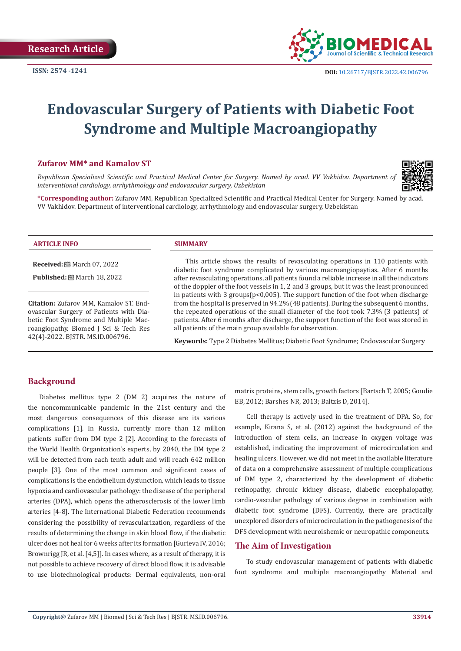

# **Endovascular Surgery of Patients with Diabetic Foot Syndrome and Multiple Macroangiopathy**

#### **Zufarov MM\* and Kamalov ST**

*Republican Specialized Scientific and Practical Medical Center for Surgery. Named by acad. VV Vakhidov. Department of interventional cardiology, arrhythmology and endovascular surgery, Uzbekistan* 



**\*Corresponding author:** Zufarov MM, Republican Specialized Scientific and Practical Medical Center for Surgery. Named by acad. VV Vakhidov. Department of interventional cardiology, arrhythmology and endovascular surgery, Uzbekistan

#### **ARTICLE INFO SUMMARY**

**Received:** March 07, 2022

**Published:** ■ March 18, 2022

**Citation:** Zufarov MM, Kamalov ST. Endovascular Surgery of Patients with Diabetic Foot Syndrome and Multiple Macroangiopathy. Biomed J Sci & Tech Res 42(4)-2022. BJSTR. MS.ID.006796.

This article shows the results of revasculating operations in 110 patients with diabetic foot syndrome complicated by various macroangiopaytias. After 6 months after revasculating operations, all patients found a reliable increase in all the indicators of the doppler of the foot vessels in 1, 2 and 3 groups, but it was the least pronounced in patients with 3 groups( $p<0.005$ ). The support function of the foot when discharge from the hospital is preserved in 94.2% (48 patients). During the subsequent 6 months, the repeated operations of the small diameter of the foot took 7.3% (3 patients) of patients. After 6 months after discharge, the support function of the foot was stored in all patients of the main group available for observation.

**Keywords:** Type 2 Diabetes Mellitus; Diabetic Foot Syndrome; Endovascular Surgery

# **Background**

Diabetes mellitus type 2 (DM 2) acquires the nature of the noncommunicable pandemic in the 21st century and the most dangerous consequences of this disease are its various complications [1]. In Russia, currently more than 12 million patients suffer from DM type 2 [2]. According to the forecasts of the World Health Organization's experts, by 2040, the DM type 2 will be detected from each tenth adult and will reach 642 million people [3]. One of the most common and significant cases of complications is the endothelium dysfunction, which leads to tissue hypoxia and cardiovascular pathology: the disease of the peripheral arteries (DPA), which opens the atherosclerosis of the lower limb arteries [4-8]. The International Diabetic Federation recommends considering the possibility of revascularization, regardless of the results of determining the change in skin blood flow, if the diabetic ulcer does not heal for 6 weeks after its formation [Gurieva IV, 2016; Brownrigg JR, et al. [4,5]]. In cases where, as a result of therapy, it is not possible to achieve recovery of direct blood flow, it is advisable to use biotechnological products: Dermal equivalents, non-oral

matrix proteins, stem cells, growth factors [Bartsch T, 2005; Goudie EB, 2012; Barshes NR, 2013; Baltzis D, 2014].

Cell therapy is actively used in the treatment of DPA. So, for example, Kirana S, et al. (2012) against the background of the introduction of stem cells, an increase in oxygen voltage was established, indicating the improvement of microcirculation and healing ulcers. However, we did not meet in the available literature of data on a comprehensive assessment of multiple complications of DM type 2, characterized by the development of diabetic retinopathy, chronic kidney disease, diabetic encephalopathy, cardio-vascular pathology of various degree in combination with diabetic foot syndrome (DFS). Currently, there are practically unexplored disorders of microcirculation in the pathogenesis of the DFS development with neuroishemic or neuropathic components.

# **The Aim of Investigation**

To study endovascular management of patients with diabetic foot syndrome and multiple macroangiopathy Material and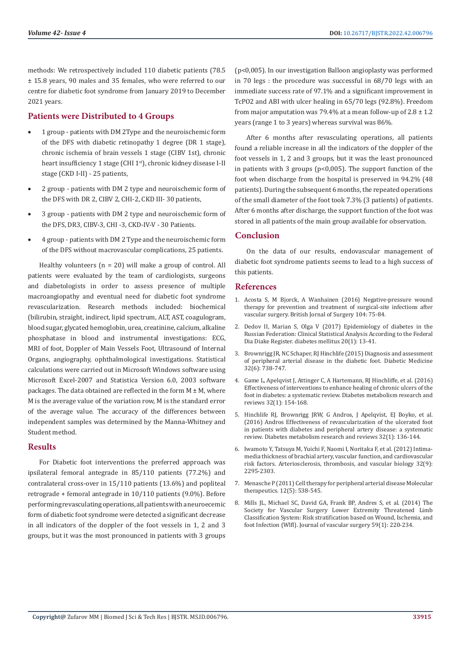methods: We retrospectively included 110 diabetic patients (78.5 ± 15.8 years, 90 males and 35 females, who were referred to our centre for diabetic foot syndrome from January 2019 to December 2021 years.

# **Patients were Distributed to 4 Groups**

- 1 group patients with DM 2Type and the neuroischemic form of the DFS with diabetic retinopathy 1 degree (DR 1 stage), chronic ischemia of brain vessels 1 stage (CIBV 1st), chronic heart insufficiency 1 stage (CHI 1st), chronic kidney disease I-II stage (CKD I-II) - 25 patients,
- 2 group patients with DM 2 type and neuroischemic form of the DFS with DR 2, CIBV 2, CHI-2, CKD III- 30 patients,
- 3 group patients with DM 2 type and neuroischemic form of the DFS, DR3, CIBV-3, CHI -3, CKD-IV-V - 30 Patients.
- 4 group patients with DM 2 Type and the neuroischemic form of the DFS without macrovascular complications, 25 patients.

Healthy volunteers  $(n = 20)$  will make a group of control. All patients were evaluated by the team of cardiologists, surgeons and diabetologists in order to assess presence of multiple macroangiopathy and eventual need for diabetic foot syndrome revascularization. Research methods included: biochemical (bilirubin, straight, indirect, lipid spectrum, ALT, AST, coagulogram, blood sugar, glycated hemoglobin, urea, creatinine, calcium, alkaline phosphatase in blood and instrumental investigations: ECG, MRI of foot, Doppler of Main Vessels Foot, Ultrasound of Internal Organs, angiography, ophthalmological investigations. Statistical calculations were carried out in Microsoft Windows software using Microsoft Excel-2007 and Statistica Version 6.0, 2003 software packages. The data obtained are reflected in the form  $M \pm M$ , where M is the average value of the variation row, M is the standard error of the average value. The accuracy of the differences between independent samples was determined by the Manna-Whitney and Student method.

### **Results**

For Diabetic foot interventions the preferred approach was ipsilateral femoral antegrade in 85/110 patients (77.2%) and contralateral cross-over in 15/110 patients (13.6%) and popliteal retrograde + femoral antegrade in 10/110 patients (9.0%). Before performing revasculating operations, all patients with a neuroecemic form of diabetic foot syndrome were detected a significant decrease in all indicators of the doppler of the foot vessels in 1, 2 and 3 groups, but it was the most pronounced in patients with 3 groups

(p<0,005). In our investigation Balloon angioplasty was performed in 70 legs : the procedure was successful in 68/70 legs with an immediate success rate of 97.1% and a significant improvement in TcPO2 and ABI with ulcer healing in 65/70 legs (92.8%). Freedom from major amputation was 79.4% at a mean follow-up of  $2.8 \pm 1.2$ years (range 1 to 3 years) whereas survival was 86%.

After 6 months after revasculating operations, all patients found a reliable increase in all the indicators of the doppler of the foot vessels in 1, 2 and 3 groups, but it was the least pronounced in patients with 3 groups ( $p<0.005$ ). The support function of the foot when discharge from the hospital is preserved in 94.2% (48 patients). During the subsequent 6 months, the repeated operations of the small diameter of the foot took 7.3% (3 patients) of patients. After 6 months after discharge, the support function of the foot was stored in all patients of the main group available for observation.

# **Conclusion**

On the data of our results, endovascular management of diabetic foot syndrome patients seems to lead to a high success of this patients.

### **References**

- 1. [Acosta S, M Bjorck, A Wanhainen \(2016\) Negative-pressure wound](https://pubmed.ncbi.nlm.nih.gov/27901277/) [therapy for prevention and treatment of surgical-site infections after](https://pubmed.ncbi.nlm.nih.gov/27901277/) [vascular surgery. British Jornal of Surgery 104: 75-84.](https://pubmed.ncbi.nlm.nih.gov/27901277/)
- 2. Dedov II, Marian S, Olga V (2017) Epidemiology of diabetes in the Russian Federation: Clinical Statistical Analysis According to the Federal Dia Diake Register. diabetes mellitus 20(1): 13-41.
- 3. [Brownrigg JR, NC Schaper, RJ Hinchlife \(2015\) Diagnosis and assessment](https://pubmed.ncbi.nlm.nih.gov/25764390/) [of peripheral arterial disease in the diabetic foot. Diabetic Medicine](https://pubmed.ncbi.nlm.nih.gov/25764390/) [32\(6\): 738-747.](https://pubmed.ncbi.nlm.nih.gov/25764390/)
- 4. [Game L, Apelqvist J, Attinger C, A Hartemann, RJ Hinchliffe, et al. \(2016\)](https://pubmed.ncbi.nlm.nih.gov/26344936/) [Effectiveness of interventions to enhance healing of chronic ulcers of the](https://pubmed.ncbi.nlm.nih.gov/26344936/) [foot in diabetes: a systematic review. Diabetes metabolism research and](https://pubmed.ncbi.nlm.nih.gov/26344936/) [reviews 32\(1\): 154-168.](https://pubmed.ncbi.nlm.nih.gov/26344936/)
- 5. [Hinchlife RJ, Brownrigg JRW, G Andros, J Apelqvist, EJ Boyko, et al.](https://pubmed.ncbi.nlm.nih.gov/26342204/) [\(2016\) Andros Effectiveness of revascularization of the ulcerated foot](https://pubmed.ncbi.nlm.nih.gov/26342204/) [in patients with diabetes and peripheral artery disease: a systematic](https://pubmed.ncbi.nlm.nih.gov/26342204/) [review. Diabetes metabolism research and reviews 32\(1\): 136-144.](https://pubmed.ncbi.nlm.nih.gov/26342204/)
- 6. [Iwamoto Y, Tatsuya M, Yuichi F, Naomi I, Noritaka F, et al. \(2012\) Intima](https://pubmed.ncbi.nlm.nih.gov/22796580/)[media thickness of brachial artery, vascular function, and cardiovascular](https://pubmed.ncbi.nlm.nih.gov/22796580/) [risk factors. Arteriosclerosis, thrombosis, and vascular biology 32\(9\):](https://pubmed.ncbi.nlm.nih.gov/22796580/) [2295-2303.](https://pubmed.ncbi.nlm.nih.gov/22796580/)
- 7. Menasche P (2011) Cell therapy for peripheral arterial disease Molecular therapeutics. 12(5): 538-545.
- 8. [Mills JL, Michael SC, David GA, Frank BP, Andres S, et al. \(2014\) The](https://pubmed.ncbi.nlm.nih.gov/24126108/) [Society for Vascular Surgery Lower Extremity Threatened Limb](https://pubmed.ncbi.nlm.nih.gov/24126108/) [Classification System: Risk stratification based on Wound, Ischemia, and](https://pubmed.ncbi.nlm.nih.gov/24126108/) [foot Infection \(Wlfl\). Journal of vascular surgery 59\(1\): 220-234.](https://pubmed.ncbi.nlm.nih.gov/24126108/)